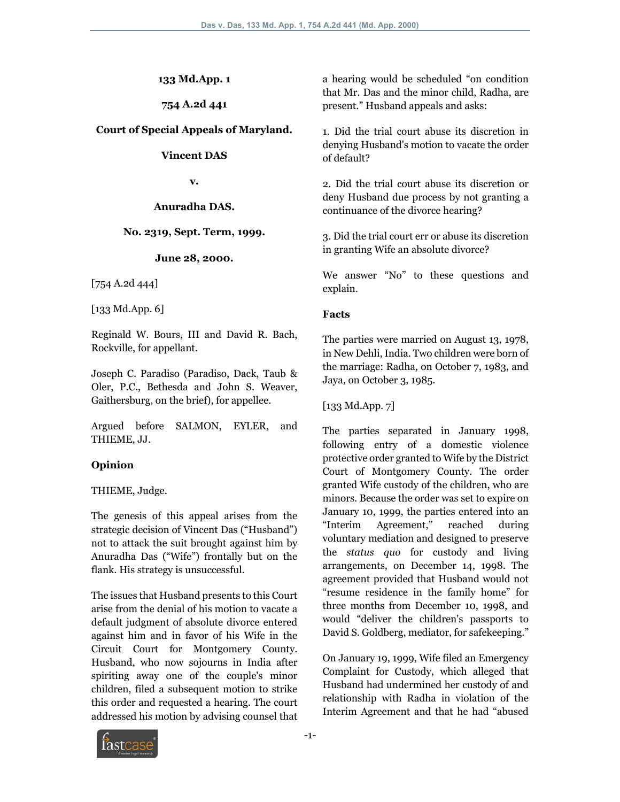#### **133 Md.App. 1**

**754 A.2d 441**

#### **Court of Special Appeals of Maryland.**

#### **Vincent DAS**

**v.**

#### **Anuradha DAS.**

#### **No. 2319, Sept. Term, 1999.**

#### **June 28, 2000.**

[754 A.2d 444]

[133 Md.App. 6]

Reginald W. Bours, III and David R. Bach, Rockville, for appellant.

Joseph C. Paradiso (Paradiso, Dack, Taub & Oler, P.C., Bethesda and John S. Weaver, Gaithersburg, on the brief), for appellee.

Argued before SALMON, EYLER, and THIEME, JJ.

#### **Opinion**

#### THIEME, Judge.

The genesis of this appeal arises from the strategic decision of Vincent Das ("Husband") not to attack the suit brought against him by Anuradha Das ("Wife") frontally but on the flank. His strategy is unsuccessful.

The issues that Husband presents to this Court arise from the denial of his motion to vacate a default judgment of absolute divorce entered against him and in favor of his Wife in the Circuit Court for Montgomery County. Husband, who now sojourns in India after spiriting away one of the couple's minor children, filed a subsequent motion to strike this order and requested a hearing. The court addressed his motion by advising counsel that

a hearing would be scheduled "on condition that Mr. Das and the minor child, Radha, are present." Husband appeals and asks:

1. Did the trial court abuse its discretion in denying Husband's motion to vacate the order of default?

2. Did the trial court abuse its discretion or deny Husband due process by not granting a continuance of the divorce hearing?

3. Did the trial court err or abuse its discretion in granting Wife an absolute divorce?

We answer "No" to these questions and explain.

#### **Facts**

The parties were married on August 13, 1978, in New Dehli, India. Two children were born of the marriage: Radha, on October 7, 1983, and Jaya, on October 3, 1985.

[133 Md.App. 7]

The parties separated in January 1998, following entry of a domestic violence protective order granted to Wife by the District Court of Montgomery County. The order granted Wife custody of the children, who are minors. Because the order was set to expire on January 10, 1999, the parties entered into an "Interim Agreement," reached during voluntary mediation and designed to preserve the *status quo* for custody and living arrangements, on December 14, 1998. The agreement provided that Husband would not "resume residence in the family home" for three months from December 10, 1998, and would "deliver the children's passports to David S. Goldberg, mediator, for safekeeping."

On January 19, 1999, Wife filed an Emergency Complaint for Custody, which alleged that Husband had undermined her custody of and relationship with Radha in violation of the Interim Agreement and that he had "abused

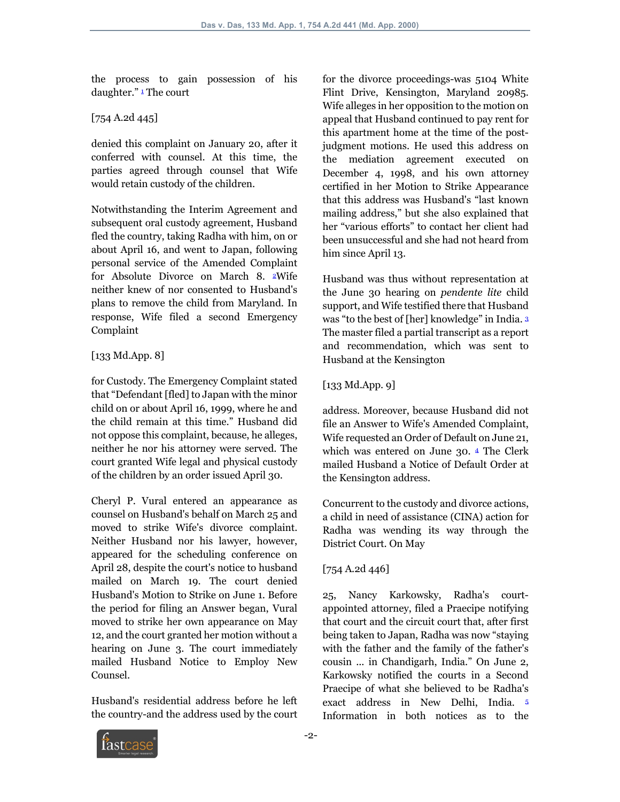the process to gain possession of his daughter." 1 The court

## [754 A.2d 445]

denied this complaint on January 20, after it conferred with counsel. At this time, the parties agreed through counsel that Wife would retain custody of the children.

Notwithstanding the Interim Agreement and subsequent oral custody agreement, Husband fled the country, taking Radha with him, on or about April 16, and went to Japan, following personal service of the Amended Complaint for Absolute Divorce on March 8. 2Wife neither knew of nor consented to Husband's plans to remove the child from Maryland. In response, Wife filed a second Emergency Complaint

## [133 Md.App. 8]

for Custody. The Emergency Complaint stated that "Defendant [fled] to Japan with the minor child on or about April 16, 1999, where he and the child remain at this time." Husband did not oppose this complaint, because, he alleges, neither he nor his attorney were served. The court granted Wife legal and physical custody of the children by an order issued April 30.

Cheryl P. Vural entered an appearance as counsel on Husband's behalf on March 25 and moved to strike Wife's divorce complaint. Neither Husband nor his lawyer, however, appeared for the scheduling conference on April 28, despite the court's notice to husband mailed on March 19. The court denied Husband's Motion to Strike on June 1. Before the period for filing an Answer began, Vural moved to strike her own appearance on May 12, and the court granted her motion without a hearing on June 3. The court immediately mailed Husband Notice to Employ New Counsel.

Husband's residential address before he left the country-and the address used by the court for the divorce proceedings-was 5104 White Flint Drive, Kensington, Maryland 20985. Wife alleges in her opposition to the motion on appeal that Husband continued to pay rent for this apartment home at the time of the postjudgment motions. He used this address on the mediation agreement executed on December 4, 1998, and his own attorney certified in her Motion to Strike Appearance that this address was Husband's "last known mailing address," but she also explained that her "various efforts" to contact her client had been unsuccessful and she had not heard from him since April 13.

Husband was thus without representation at the June 30 hearing on *pendente lite* child support, and Wife testified there that Husband was "to the best of [her] knowledge" in India. 3 The master filed a partial transcript as a report and recommendation, which was sent to Husband at the Kensington

## [133 Md.App. 9]

address. Moreover, because Husband did not file an Answer to Wife's Amended Complaint, Wife requested an Order of Default on June 21, which was entered on June 30. 4 The Clerk mailed Husband a Notice of Default Order at the Kensington address.

Concurrent to the custody and divorce actions, a child in need of assistance (CINA) action for Radha was wending its way through the District Court. On May

# [754 A.2d 446]

25, Nancy Karkowsky, Radha's courtappointed attorney, filed a Praecipe notifying that court and the circuit court that, after first being taken to Japan, Radha was now "staying with the father and the family of the father's cousin ... in Chandigarh, India." On June 2, Karkowsky notified the courts in a Second Praecipe of what she believed to be Radha's exact address in New Delhi, India. 5 Information in both notices as to the

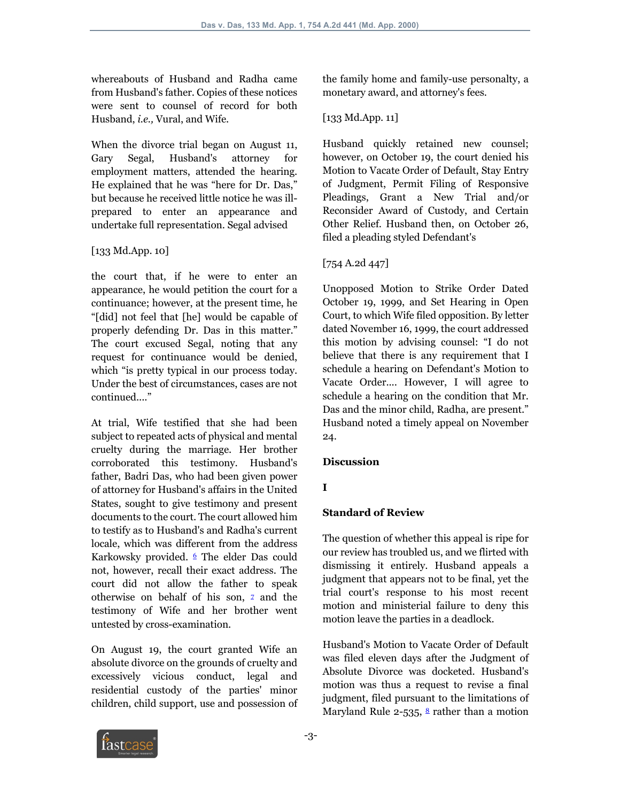whereabouts of Husband and Radha came from Husband's father. Copies of these notices were sent to counsel of record for both Husband, *i.e.,* Vural, and Wife.

When the divorce trial began on August 11, Gary Segal, Husband's attorney for employment matters, attended the hearing. He explained that he was "here for Dr. Das," but because he received little notice he was illprepared to enter an appearance and undertake full representation. Segal advised

## [133 Md.App. 10]

the court that, if he were to enter an appearance, he would petition the court for a continuance; however, at the present time, he "[did] not feel that [he] would be capable of properly defending Dr. Das in this matter." The court excused Segal, noting that any request for continuance would be denied, which "is pretty typical in our process today. Under the best of circumstances, cases are not continued...."

At trial, Wife testified that she had been subject to repeated acts of physical and mental cruelty during the marriage. Her brother corroborated this testimony. Husband's father, Badri Das, who had been given power of attorney for Husband's affairs in the United States, sought to give testimony and present documents to the court. The court allowed him to testify as to Husband's and Radha's current locale, which was different from the address Karkowsky provided. 6 The elder Das could not, however, recall their exact address. The court did not allow the father to speak otherwise on behalf of his son,  $\overline{z}$  and the testimony of Wife and her brother went untested by cross-examination.

On August 19, the court granted Wife an absolute divorce on the grounds of cruelty and excessively vicious conduct, legal and residential custody of the parties' minor children, child support, use and possession of the family home and family-use personalty, a monetary award, and attorney's fees.

## [133 Md.App. 11]

Husband quickly retained new counsel; however, on October 19, the court denied his Motion to Vacate Order of Default, Stay Entry of Judgment, Permit Filing of Responsive Pleadings, Grant a New Trial and/or Reconsider Award of Custody, and Certain Other Relief. Husband then, on October 26, filed a pleading styled Defendant's

## [754 A.2d 447]

Unopposed Motion to Strike Order Dated October 19, 1999, and Set Hearing in Open Court, to which Wife filed opposition. By letter dated November 16, 1999, the court addressed this motion by advising counsel: "I do not believe that there is any requirement that I schedule a hearing on Defendant's Motion to Vacate Order.... However, I will agree to schedule a hearing on the condition that Mr. Das and the minor child, Radha, are present." Husband noted a timely appeal on November 24.

## **Discussion**

## **I**

## **Standard of Review**

The question of whether this appeal is ripe for our review has troubled us, and we flirted with dismissing it entirely. Husband appeals a judgment that appears not to be final, yet the trial court's response to his most recent motion and ministerial failure to deny this motion leave the parties in a deadlock.

Husband's Motion to Vacate Order of Default was filed eleven days after the Judgment of Absolute Divorce was docketed. Husband's motion was thus a request to revise a final judgment, filed pursuant to the limitations of Maryland Rule 2-535,  $\frac{8}{3}$  rather than a motion

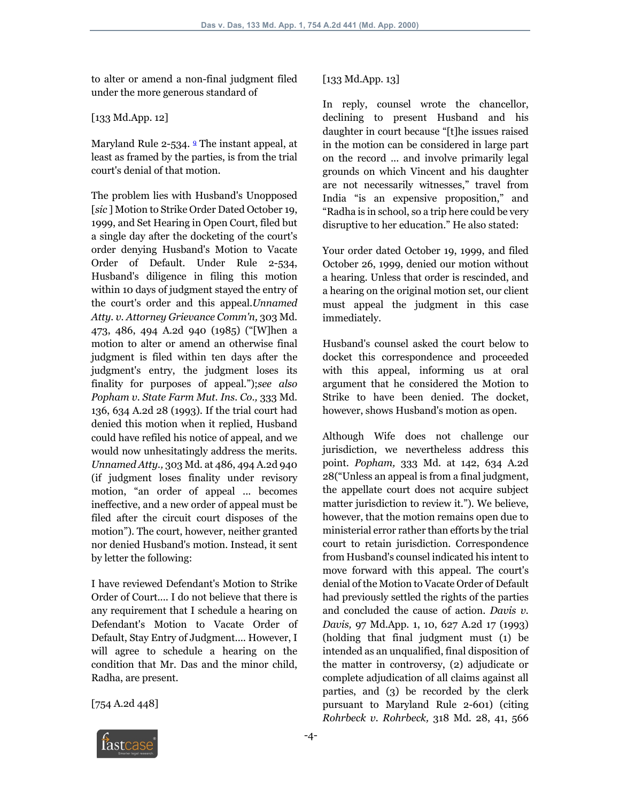to alter or amend a non-final judgment filed under the more generous standard of

#### [133 Md.App. 12]

Maryland Rule 2-534. <sup>9</sup> The instant appeal, at least as framed by the parties, is from the trial court's denial of that motion.

The problem lies with Husband's Unopposed [*sic* ] Motion to Strike Order Dated October 19, 1999, and Set Hearing in Open Court, filed but a single day after the docketing of the court's order denying Husband's Motion to Vacate Order of Default. Under Rule 2-534, Husband's diligence in filing this motion within 10 days of judgment stayed the entry of the court's order and this appeal.*Unnamed Atty. v. Attorney Grievance Comm'n,* 303 Md. 473, 486, 494 A.2d 940 (1985) ("[W]hen a motion to alter or amend an otherwise final judgment is filed within ten days after the judgment's entry, the judgment loses its finality for purposes of appeal.");*see also Popham v. State Farm Mut. Ins. Co.,* 333 Md. 136, 634 A.2d 28 (1993). If the trial court had denied this motion when it replied, Husband could have refiled his notice of appeal, and we would now unhesitatingly address the merits. *Unnamed Atty.,* 303 Md. at 486, 494 A.2d 940 (if judgment loses finality under revisory motion, "an order of appeal ... becomes ineffective, and a new order of appeal must be filed after the circuit court disposes of the motion"). The court, however, neither granted nor denied Husband's motion. Instead, it sent by letter the following:

I have reviewed Defendant's Motion to Strike Order of Court.... I do not believe that there is any requirement that I schedule a hearing on Defendant's Motion to Vacate Order of Default, Stay Entry of Judgment.... However, I will agree to schedule a hearing on the condition that Mr. Das and the minor child, Radha, are present.

[754 A.2d 448]

### [133 Md.App. 13]

In reply, counsel wrote the chancellor, declining to present Husband and his daughter in court because "[t]he issues raised in the motion can be considered in large part on the record ... and involve primarily legal grounds on which Vincent and his daughter are not necessarily witnesses," travel from India "is an expensive proposition," and "Radha is in school, so a trip here could be very disruptive to her education." He also stated:

Your order dated October 19, 1999, and filed October 26, 1999, denied our motion without a hearing. Unless that order is rescinded, and a hearing on the original motion set, our client must appeal the judgment in this case immediately.

Husband's counsel asked the court below to docket this correspondence and proceeded with this appeal, informing us at oral argument that he considered the Motion to Strike to have been denied. The docket, however, shows Husband's motion as open.

Although Wife does not challenge our jurisdiction, we nevertheless address this point. *Popham,* 333 Md. at 142, 634 A.2d 28("Unless an appeal is from a final judgment, the appellate court does not acquire subject matter jurisdiction to review it."). We believe, however, that the motion remains open due to ministerial error rather than efforts by the trial court to retain jurisdiction. Correspondence from Husband's counsel indicated his intent to move forward with this appeal. The court's denial of the Motion to Vacate Order of Default had previously settled the rights of the parties and concluded the cause of action. *Davis v. Davis,* 97 Md.App. 1, 10, 627 A.2d 17 (1993) (holding that final judgment must (1) be intended as an unqualified, final disposition of the matter in controversy, (2) adjudicate or complete adjudication of all claims against all parties, and (3) be recorded by the clerk pursuant to Maryland Rule 2-601) (citing *Rohrbeck v. Rohrbeck,* 318 Md. 28, 41, 566

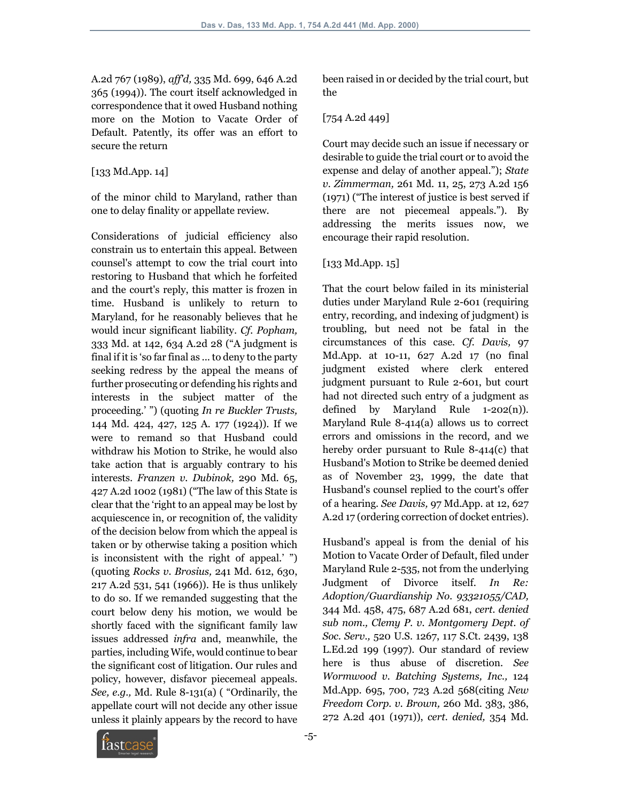A.2d 767 (1989), *aff'd,* 335 Md. 699, 646 A.2d 365 (1994)). The court itself acknowledged in correspondence that it owed Husband nothing more on the Motion to Vacate Order of Default. Patently, its offer was an effort to secure the return

### [133 Md.App. 14]

of the minor child to Maryland, rather than one to delay finality or appellate review.

Considerations of judicial efficiency also constrain us to entertain this appeal. Between counsel's attempt to cow the trial court into restoring to Husband that which he forfeited and the court's reply, this matter is frozen in time. Husband is unlikely to return to Maryland, for he reasonably believes that he would incur significant liability. *Cf. Popham,* 333 Md. at 142, 634 A.2d 28 ("A judgment is final if it is 'so far final as ... to deny to the party seeking redress by the appeal the means of further prosecuting or defending his rights and interests in the subject matter of the proceeding.' ") (quoting *In re Buckler Trusts,* 144 Md. 424, 427, 125 A. 177 (1924)). If we were to remand so that Husband could withdraw his Motion to Strike, he would also take action that is arguably contrary to his interests. *Franzen v. Dubinok,* 290 Md. 65, 427 A.2d 1002 (1981) ("The law of this State is clear that the 'right to an appeal may be lost by acquiescence in, or recognition of, the validity of the decision below from which the appeal is taken or by otherwise taking a position which is inconsistent with the right of appeal.' ") (quoting *Rocks v. Brosius,* 241 Md. 612, 630, 217 A.2d 531, 541 (1966)). He is thus unlikely to do so. If we remanded suggesting that the court below deny his motion, we would be shortly faced with the significant family law issues addressed *infra* and, meanwhile, the parties, including Wife, would continue to bear the significant cost of litigation. Our rules and policy, however, disfavor piecemeal appeals. *See, e.g.,* Md. Rule 8-131(a) ( "Ordinarily, the appellate court will not decide any other issue unless it plainly appears by the record to have

been raised in or decided by the trial court, but the

## [754 A.2d 449]

Court may decide such an issue if necessary or desirable to guide the trial court or to avoid the expense and delay of another appeal."); *State v. Zimmerman,* 261 Md. 11, 25, 273 A.2d 156 (1971) ("The interest of justice is best served if there are not piecemeal appeals."). By addressing the merits issues now, we encourage their rapid resolution.

## [133 Md.App. 15]

That the court below failed in its ministerial duties under Maryland Rule 2-601 (requiring entry, recording, and indexing of judgment) is troubling, but need not be fatal in the circumstances of this case. *Cf. Davis,* 97 Md.App. at 10-11, 627 A.2d 17 (no final judgment existed where clerk entered judgment pursuant to Rule 2-601, but court had not directed such entry of a judgment as defined by Maryland Rule 1-202(n)). Maryland Rule 8-414(a) allows us to correct errors and omissions in the record, and we hereby order pursuant to Rule 8-414(c) that Husband's Motion to Strike be deemed denied as of November 23, 1999, the date that Husband's counsel replied to the court's offer of a hearing. *See Davis,* 97 Md.App. at 12, 627 A.2d 17 (ordering correction of docket entries).

Husband's appeal is from the denial of his Motion to Vacate Order of Default, filed under Maryland Rule 2-535, not from the underlying Judgment of Divorce itself. *In Re: Adoption/Guardianship No. 93321055/CAD,* 344 Md. 458, 475, 687 A.2d 681, *cert. denied sub nom., Clemy P. v. Montgomery Dept. of Soc. Serv.,* 520 U.S. 1267, 117 S.Ct. 2439, 138 L.Ed.2d 199 (1997). Our standard of review here is thus abuse of discretion. *See Wormwood v. Batching Systems, Inc.,* 124 Md.App. 695, 700, 723 A.2d 568(citing *New Freedom Corp. v. Brown,* 260 Md. 383, 386, 272 A.2d 401 (1971)), *cert. denied,* 354 Md.

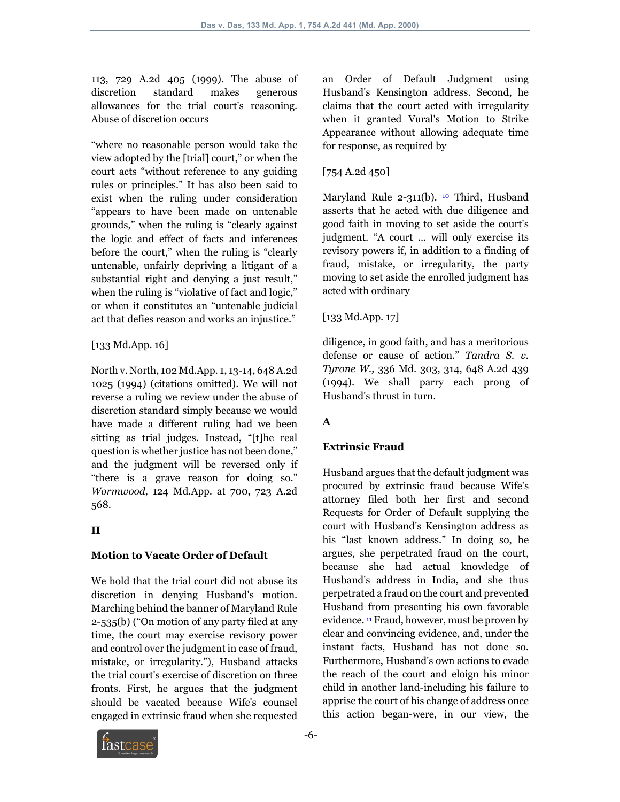113, 729 A.2d 405 (1999). The abuse of discretion standard makes generous allowances for the trial court's reasoning. Abuse of discretion occurs

"where no reasonable person would take the view adopted by the [trial] court," or when the court acts "without reference to any guiding rules or principles." It has also been said to exist when the ruling under consideration "appears to have been made on untenable grounds," when the ruling is "clearly against the logic and effect of facts and inferences before the court," when the ruling is "clearly untenable, unfairly depriving a litigant of a substantial right and denying a just result," when the ruling is "violative of fact and logic," or when it constitutes an "untenable judicial act that defies reason and works an injustice."

### [133 Md.App. 16]

North v. North, 102 Md.App. 1, 13-14, 648 A.2d 1025 (1994) (citations omitted). We will not reverse a ruling we review under the abuse of discretion standard simply because we would have made a different ruling had we been sitting as trial judges. Instead, "[t]he real question is whether justice has not been done," and the judgment will be reversed only if "there is a grave reason for doing so." *Wormwood,* 124 Md.App. at 700, 723 A.2d 568.

## **II**

#### **Motion to Vacate Order of Default**

We hold that the trial court did not abuse its discretion in denying Husband's motion. Marching behind the banner of Maryland Rule 2-535(b) ("On motion of any party filed at any time, the court may exercise revisory power and control over the judgment in case of fraud, mistake, or irregularity."), Husband attacks the trial court's exercise of discretion on three fronts. First, he argues that the judgment should be vacated because Wife's counsel engaged in extrinsic fraud when she requested an Order of Default Judgment using Husband's Kensington address. Second, he claims that the court acted with irregularity when it granted Vural's Motion to Strike Appearance without allowing adequate time for response, as required by

## [754 A.2d 450]

Maryland Rule 2-311(b).  $\omega$  Third, Husband asserts that he acted with due diligence and good faith in moving to set aside the court's judgment. "A court ... will only exercise its revisory powers if, in addition to a finding of fraud, mistake, or irregularity, the party moving to set aside the enrolled judgment has acted with ordinary

## [133 Md.App. 17]

diligence, in good faith, and has a meritorious defense or cause of action." *Tandra S. v. Tyrone W.,* 336 Md. 303, 314, 648 A.2d 439 (1994). We shall parry each prong of Husband's thrust in turn.

# **A**

## **Extrinsic Fraud**

Husband argues that the default judgment was procured by extrinsic fraud because Wife's attorney filed both her first and second Requests for Order of Default supplying the court with Husband's Kensington address as his "last known address." In doing so, he argues, she perpetrated fraud on the court, because she had actual knowledge of Husband's address in India, and she thus perpetrated a fraud on the court and prevented Husband from presenting his own favorable evidence.  $\frac{11}{2}$  Fraud, however, must be proven by clear and convincing evidence, and, under the instant facts, Husband has not done so. Furthermore, Husband's own actions to evade the reach of the court and eloign his minor child in another land-including his failure to apprise the court of his change of address once this action began-were, in our view, the

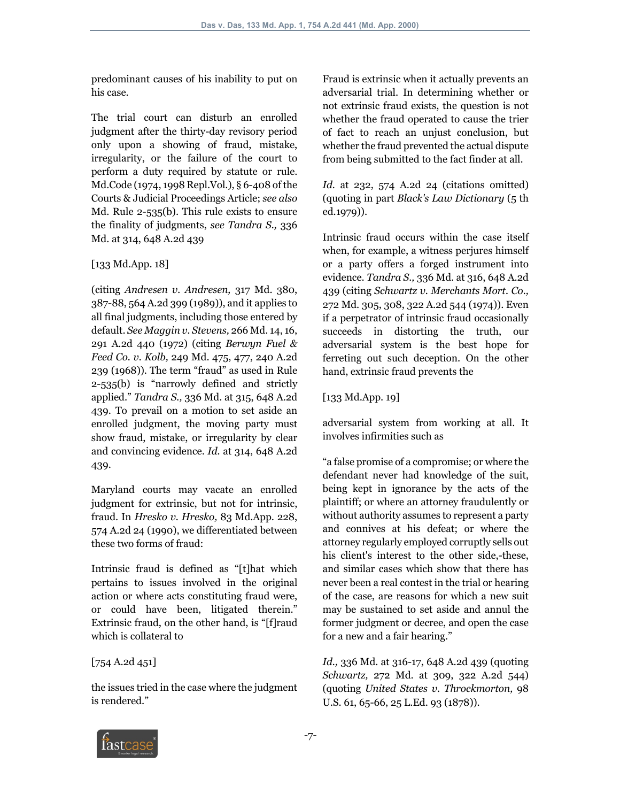predominant causes of his inability to put on his case.

The trial court can disturb an enrolled judgment after the thirty-day revisory period only upon a showing of fraud, mistake, irregularity, or the failure of the court to perform a duty required by statute or rule. Md.Code (1974, 1998 Repl.Vol.), § 6-408 of the Courts & Judicial Proceedings Article; *see also* Md. Rule 2-535(b). This rule exists to ensure the finality of judgments, *see Tandra S.,* 336 Md. at 314, 648 A.2d 439

## [133 Md.App. 18]

(citing *Andresen v. Andresen,* 317 Md. 380, 387-88, 564 A.2d 399 (1989)), and it applies to all final judgments, including those entered by default. *See Maggin v. Stevens,* 266 Md. 14, 16, 291 A.2d 440 (1972) (citing *Berwyn Fuel & Feed Co. v. Kolb,* 249 Md. 475, 477, 240 A.2d 239 (1968)). The term "fraud" as used in Rule 2-535(b) is "narrowly defined and strictly applied." *Tandra S.,* 336 Md. at 315, 648 A.2d 439. To prevail on a motion to set aside an enrolled judgment, the moving party must show fraud, mistake, or irregularity by clear and convincing evidence. *Id.* at 314, 648 A.2d 439.

Maryland courts may vacate an enrolled judgment for extrinsic, but not for intrinsic, fraud. In *Hresko v. Hresko,* 83 Md.App. 228, 574 A.2d 24 (1990), we differentiated between these two forms of fraud:

Intrinsic fraud is defined as "[t]hat which pertains to issues involved in the original action or where acts constituting fraud were, or could have been, litigated therein." Extrinsic fraud, on the other hand, is "[f]raud which is collateral to

## [754 A.2d 451]

the issues tried in the case where the judgment is rendered."

Fraud is extrinsic when it actually prevents an adversarial trial. In determining whether or not extrinsic fraud exists, the question is not whether the fraud operated to cause the trier of fact to reach an unjust conclusion, but whether the fraud prevented the actual dispute from being submitted to the fact finder at all.

*Id.* at 232, 574 A.2d 24 (citations omitted) (quoting in part *Black's Law Dictionary* (5 th ed.1979)).

Intrinsic fraud occurs within the case itself when, for example, a witness perjures himself or a party offers a forged instrument into evidence. *Tandra S.,* 336 Md. at 316, 648 A.2d 439 (citing *Schwartz v. Merchants Mort. Co.,* 272 Md. 305, 308, 322 A.2d 544 (1974)). Even if a perpetrator of intrinsic fraud occasionally succeeds in distorting the truth, our adversarial system is the best hope for ferreting out such deception. On the other hand, extrinsic fraud prevents the

## [133 Md.App. 19]

adversarial system from working at all. It involves infirmities such as

"a false promise of a compromise; or where the defendant never had knowledge of the suit, being kept in ignorance by the acts of the plaintiff; or where an attorney fraudulently or without authority assumes to represent a party and connives at his defeat; or where the attorney regularly employed corruptly sells out his client's interest to the other side,-these, and similar cases which show that there has never been a real contest in the trial or hearing of the case, are reasons for which a new suit may be sustained to set aside and annul the former judgment or decree, and open the case for a new and a fair hearing."

*Id.,* 336 Md. at 316-17, 648 A.2d 439 (quoting *Schwartz,* 272 Md. at 309, 322 A.2d 544) (quoting *United States v. Throckmorton,* 98 U.S. 61, 65-66, 25 L.Ed. 93 (1878)).

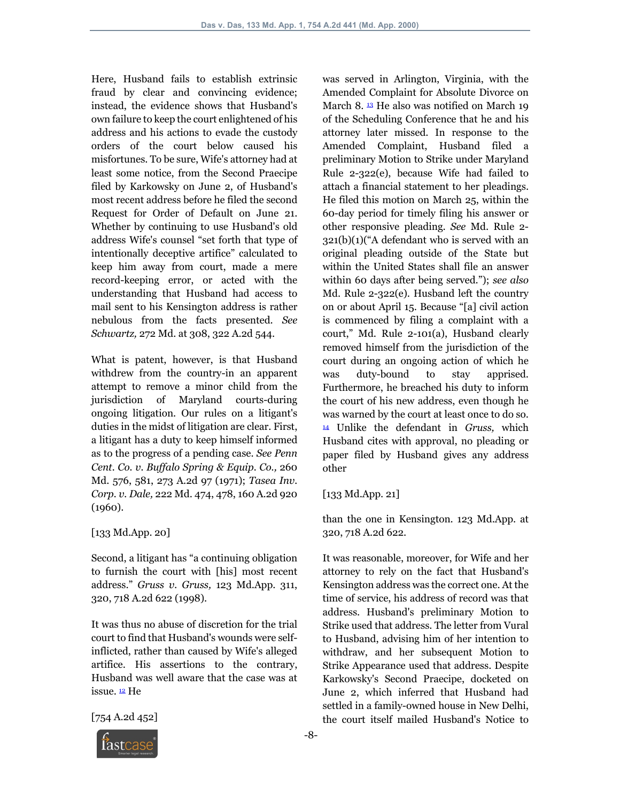Here, Husband fails to establish extrinsic fraud by clear and convincing evidence; instead, the evidence shows that Husband's own failure to keep the court enlightened of his address and his actions to evade the custody orders of the court below caused his misfortunes. To be sure, Wife's attorney had at least some notice, from the Second Praecipe filed by Karkowsky on June 2, of Husband's most recent address before he filed the second Request for Order of Default on June 21. Whether by continuing to use Husband's old address Wife's counsel "set forth that type of intentionally deceptive artifice" calculated to keep him away from court, made a mere record-keeping error, or acted with the understanding that Husband had access to mail sent to his Kensington address is rather nebulous from the facts presented. *See Schwartz,* 272 Md. at 308, 322 A.2d 544.

What is patent, however, is that Husband withdrew from the country-in an apparent attempt to remove a minor child from the jurisdiction of Maryland courts-during ongoing litigation. Our rules on a litigant's duties in the midst of litigation are clear. First, a litigant has a duty to keep himself informed as to the progress of a pending case. *See Penn Cent. Co. v. Buffalo Spring & Equip. Co.,* 260 Md. 576, 581, 273 A.2d 97 (1971); *Tasea Inv. Corp. v. Dale,* 222 Md. 474, 478, 160 A.2d 920 (1960).

## [133 Md.App. 20]

Second, a litigant has "a continuing obligation to furnish the court with [his] most recent address." *Gruss v. Gruss,* 123 Md.App. 311, 320, 718 A.2d 622 (1998).

It was thus no abuse of discretion for the trial court to find that Husband's wounds were selfinflicted, rather than caused by Wife's alleged artifice. His assertions to the contrary, Husband was well aware that the case was at issue. 12 He

[754 A.2d 452]



#### [133 Md.App. 21]

than the one in Kensington. 123 Md.App. at 320, 718 A.2d 622.

It was reasonable, moreover, for Wife and her attorney to rely on the fact that Husband's Kensington address was the correct one. At the time of service, his address of record was that address. Husband's preliminary Motion to Strike used that address. The letter from Vural to Husband, advising him of her intention to withdraw, and her subsequent Motion to Strike Appearance used that address. Despite Karkowsky's Second Praecipe, docketed on June 2, which inferred that Husband had settled in a family-owned house in New Delhi, the court itself mailed Husband's Notice to

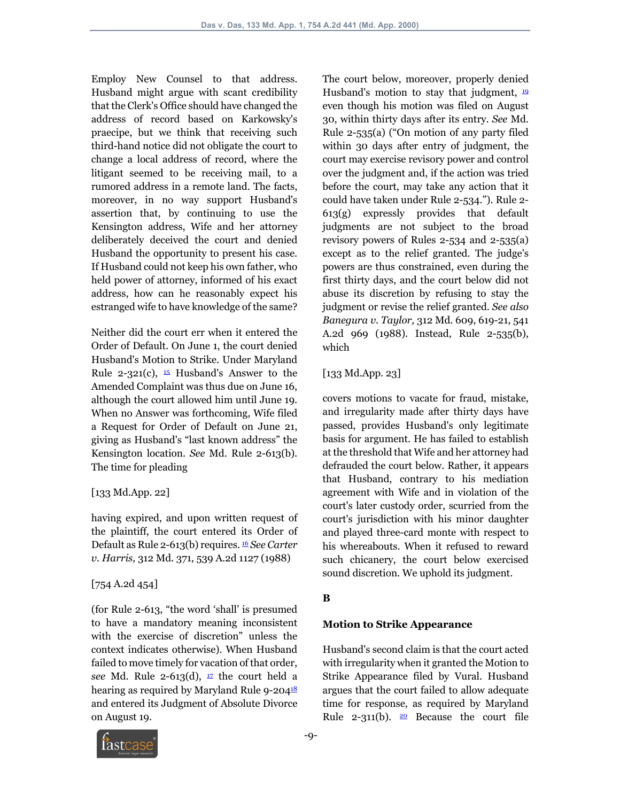Employ New Counsel to that address. Husband might argue with scant credibility that the Clerk's Office should have changed the address of record based on Karkowsky's praecipe, but we think that receiving such third-hand notice did not obligate the court to change a local address of record, where the litigant seemed to be receiving mail, to a rumored address in a remote land. The facts, moreover, in no way support Husband's assertion that, by continuing to use the Kensington address, Wife and her attorney deliberately deceived the court and denied Husband the opportunity to present his case. If Husband could not keep his own father, who held power of attorney, informed of his exact address, how can he reasonably expect his estranged wife to have knowledge of the same?

Neither did the court err when it entered the Order of Default. On June 1, the court denied Husband's Motion to Strike. Under Maryland Rule 2-321(c),  $\frac{15}{2}$  Husband's Answer to the Amended Complaint was thus due on June 16, although the court allowed him until June 19. When no Answer was forthcoming, Wife filed a Request for Order of Default on June 21, giving as Husband's "last known address" the Kensington location. *See* Md. Rule 2-613(b). The time for pleading

#### [133 Md.App. 22]

having expired, and upon written request of the plaintiff, the court entered its Order of Default as Rule 2-613(b) requires. 16 *See Carter v. Harris,* 312 Md. 371, 539 A.2d 1127 (1988)

## [754 A.2d 454]

(for Rule 2-613, "the word 'shall' is presumed to have a mandatory meaning inconsistent with the exercise of discretion" unless the context indicates otherwise). When Husband failed to move timely for vacation of that order, see Md. Rule 2-613(d),  $\frac{17}{2}$  the court held a hearing as required by Maryland Rule 9-204<sup>18</sup> and entered its Judgment of Absolute Divorce on August 19.

The court below, moreover, properly denied Husband's motion to stay that judgment,  $\frac{19}{10}$ even though his motion was filed on August 30, within thirty days after its entry. *See* Md. Rule 2-535(a) ("On motion of any party filed within 30 days after entry of judgment, the court may exercise revisory power and control over the judgment and, if the action was tried before the court, may take any action that it could have taken under Rule 2-534."). Rule 2- 613(g) expressly provides that default judgments are not subject to the broad revisory powers of Rules 2-534 and 2-535(a) except as to the relief granted. The judge's powers are thus constrained, even during the first thirty days, and the court below did not abuse its discretion by refusing to stay the judgment or revise the relief granted. *See also Banegura v. Taylor,* 312 Md. 609, 619-21, 541 A.2d 969 (1988). Instead, Rule 2-535(b), which

### [133 Md.App. 23]

covers motions to vacate for fraud, mistake, and irregularity made after thirty days have passed, provides Husband's only legitimate basis for argument. He has failed to establish at the threshold that Wife and her attorney had defrauded the court below. Rather, it appears that Husband, contrary to his mediation agreement with Wife and in violation of the court's later custody order, scurried from the court's jurisdiction with his minor daughter and played three-card monte with respect to his whereabouts. When it refused to reward such chicanery, the court below exercised sound discretion. We uphold its judgment.

# **B**

## **Motion to Strike Appearance**

Husband's second claim is that the court acted with irregularity when it granted the Motion to Strike Appearance filed by Vural. Husband argues that the court failed to allow adequate time for response, as required by Maryland Rule 2-311(b).  $20$  Because the court file

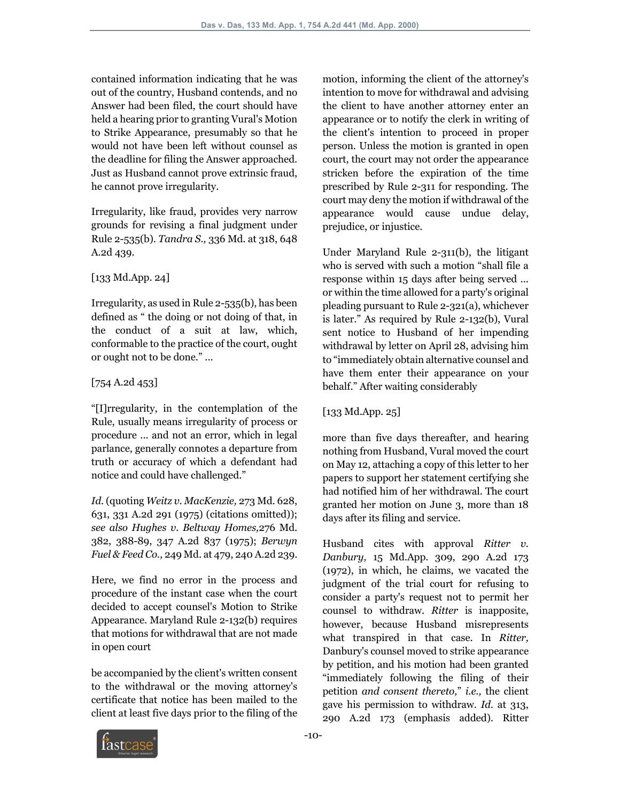contained information indicating that he was out of the country, Husband contends, and no Answer had been filed, the court should have held a hearing prior to granting Vural's Motion to Strike Appearance, presumably so that he would not have been left without counsel as the deadline for filing the Answer approached. Just as Husband cannot prove extrinsic fraud, he cannot prove irregularity.

Irregularity, like fraud, provides very narrow grounds for revising a final judgment under Rule 2-535(b). *Tandra S.,* 336 Md. at 318, 648 A.2d 439.

### [133 Md.App. 24]

Irregularity, as used in Rule 2-535(b), has been defined as " the doing or not doing of that, in the conduct of a suit at law, which, conformable to the practice of the court, ought or ought not to be done." ...

### [754 A.2d 453]

"[I]rregularity, in the contemplation of the Rule, usually means irregularity of process or procedure ... and not an error, which in legal parlance, generally connotes a departure from truth or accuracy of which a defendant had notice and could have challenged."

*Id.* (quoting *Weitz v. MacKenzie,* 273 Md. 628, 631, 331 A.2d 291 (1975) (citations omitted)); *see also Hughes v. Beltway Homes,*276 Md. 382, 388-89, 347 A.2d 837 (1975); *Berwyn Fuel & Feed Co.,* 249 Md. at 479, 240 A.2d 239.

Here, we find no error in the process and procedure of the instant case when the court decided to accept counsel's Motion to Strike Appearance. Maryland Rule 2-132(b) requires that motions for withdrawal that are not made in open court

be accompanied by the client's written consent to the withdrawal or the moving attorney's certificate that notice has been mailed to the client at least five days prior to the filing of the

motion, informing the client of the attorney's intention to move for withdrawal and advising the client to have another attorney enter an appearance or to notify the clerk in writing of the client's intention to proceed in proper person. Unless the motion is granted in open court, the court may not order the appearance stricken before the expiration of the time prescribed by Rule 2-311 for responding. The court may deny the motion if withdrawal of the appearance would cause undue delay, prejudice, or injustice.

Under Maryland Rule 2-311(b), the litigant who is served with such a motion "shall file a response within 15 days after being served ... or within the time allowed for a party's original pleading pursuant to Rule 2-321(a), whichever is later." As required by Rule 2-132(b), Vural sent notice to Husband of her impending withdrawal by letter on April 28, advising him to "immediately obtain alternative counsel and have them enter their appearance on your behalf." After waiting considerably

## [133 Md.App. 25]

more than five days thereafter, and hearing nothing from Husband, Vural moved the court on May 12, attaching a copy of this letter to her papers to support her statement certifying she had notified him of her withdrawal. The court granted her motion on June 3, more than 18 days after its filing and service.

Husband cites with approval *Ritter v. Danbury,* 15 Md.App. 309, 290 A.2d 173 (1972), in which, he claims, we vacated the judgment of the trial court for refusing to consider a party's request not to permit her counsel to withdraw. *Ritter* is inapposite, however, because Husband misrepresents what transpired in that case. In *Ritter,* Danbury's counsel moved to strike appearance by petition, and his motion had been granted "immediately following the filing of their petition *and consent thereto,*" *i.e.,* the client gave his permission to withdraw. *Id.* at 313, 290 A.2d 173 (emphasis added). Ritter

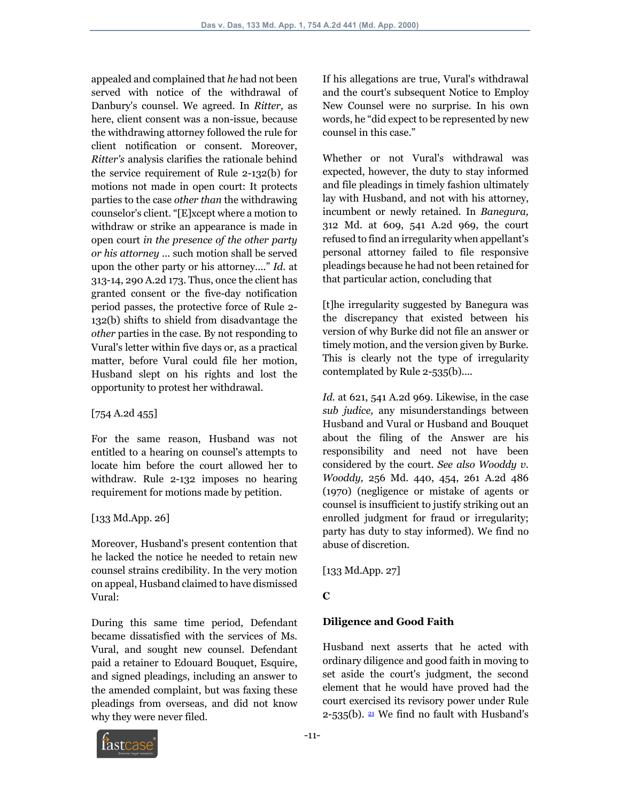appealed and complained that *he* had not been served with notice of the withdrawal of Danbury's counsel. We agreed. In *Ritter,* as here, client consent was a non-issue, because the withdrawing attorney followed the rule for client notification or consent. Moreover, *Ritter's* analysis clarifies the rationale behind the service requirement of Rule 2-132(b) for motions not made in open court: It protects parties to the case *other than* the withdrawing counselor's client. "[E]xcept where a motion to withdraw or strike an appearance is made in open court *in the presence of the other party or his attorney* ... such motion shall be served upon the other party or his attorney...." *Id.* at 313-14, 290 A.2d 173. Thus, once the client has granted consent or the five-day notification period passes, the protective force of Rule 2- 132(b) shifts to shield from disadvantage the *other* parties in the case. By not responding to Vural's letter within five days or, as a practical matter, before Vural could file her motion, Husband slept on his rights and lost the opportunity to protest her withdrawal.

#### [754 A.2d 455]

For the same reason, Husband was not entitled to a hearing on counsel's attempts to locate him before the court allowed her to withdraw. Rule 2-132 imposes no hearing requirement for motions made by petition.

## [133 Md.App. 26]

Moreover, Husband's present contention that he lacked the notice he needed to retain new counsel strains credibility. In the very motion on appeal, Husband claimed to have dismissed Vural:

During this same time period, Defendant became dissatisfied with the services of Ms. Vural, and sought new counsel. Defendant paid a retainer to Edouard Bouquet, Esquire, and signed pleadings, including an answer to the amended complaint, but was faxing these pleadings from overseas, and did not know why they were never filed.

If his allegations are true, Vural's withdrawal and the court's subsequent Notice to Employ New Counsel were no surprise. In his own words, he "did expect to be represented by new counsel in this case."

Whether or not Vural's withdrawal was expected, however, the duty to stay informed and file pleadings in timely fashion ultimately lay with Husband, and not with his attorney, incumbent or newly retained. In *Banegura,* 312 Md. at 609, 541 A.2d 969, the court refused to find an irregularity when appellant's personal attorney failed to file responsive pleadings because he had not been retained for that particular action, concluding that

[t]he irregularity suggested by Banegura was the discrepancy that existed between his version of why Burke did not file an answer or timely motion, and the version given by Burke. This is clearly not the type of irregularity contemplated by Rule 2-535(b)....

*Id.* at 621, 541 A.2d 969. Likewise, in the case *sub judice,* any misunderstandings between Husband and Vural or Husband and Bouquet about the filing of the Answer are his responsibility and need not have been considered by the court. *See also Wooddy v. Wooddy,* 256 Md. 440, 454, 261 A.2d 486 (1970) (negligence or mistake of agents or counsel is insufficient to justify striking out an enrolled judgment for fraud or irregularity; party has duty to stay informed). We find no abuse of discretion.

[133 Md.App. 27]

# **C**

## **Diligence and Good Faith**

Husband next asserts that he acted with ordinary diligence and good faith in moving to set aside the court's judgment, the second element that he would have proved had the court exercised its revisory power under Rule  $2-535(b)$ . <sup>21</sup> We find no fault with Husband's

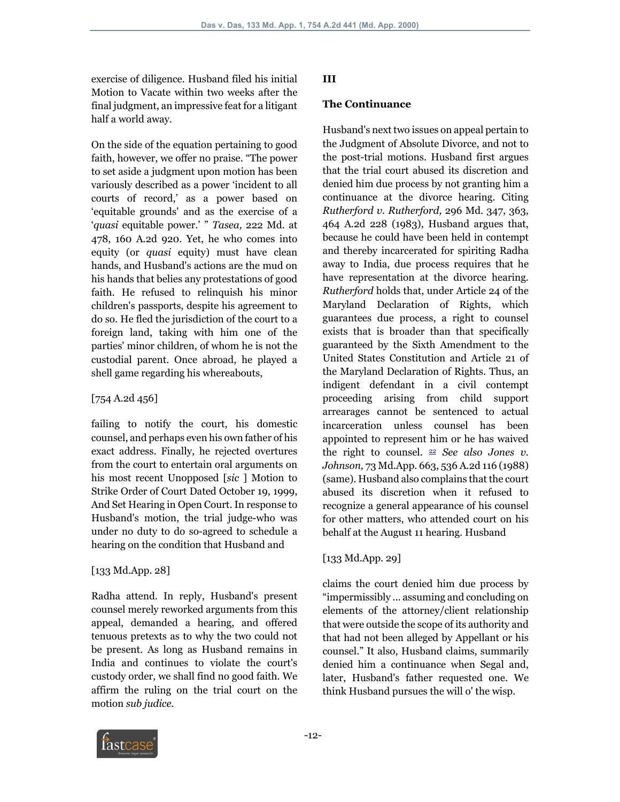exercise of diligence. Husband filed his initial Motion to Vacate within two weeks after the final judgment, an impressive feat for a litigant half a world away.

On the side of the equation pertaining to good faith, however, we offer no praise. "The power to set aside a judgment upon motion has been variously described as a power 'incident to all courts of record,' as a power based on 'equitable grounds' and as the exercise of a '*quasi* equitable power.' " *Tasea,* 222 Md. at 478, 160 A.2d 920. Yet, he who comes into equity (or *quasi* equity) must have clean hands, and Husband's actions are the mud on his hands that belies any protestations of good faith. He refused to relinquish his minor children's passports, despite his agreement to do so. He fled the jurisdiction of the court to a foreign land, taking with him one of the parties' minor children, of whom he is not the custodial parent. Once abroad, he played a shell game regarding his whereabouts,

#### [754 A.2d 456]

failing to notify the court, his domestic counsel, and perhaps even his own father of his exact address. Finally, he rejected overtures from the court to entertain oral arguments on his most recent Unopposed [*sic* ] Motion to Strike Order of Court Dated October 19, 1999, And Set Hearing in Open Court. In response to Husband's motion, the trial judge-who was under no duty to do so-agreed to schedule a hearing on the condition that Husband and

#### [133 Md.App. 28]

Radha attend. In reply, Husband's present counsel merely reworked arguments from this appeal, demanded a hearing, and offered tenuous pretexts as to why the two could not be present. As long as Husband remains in India and continues to violate the court's custody order, we shall find no good faith. We affirm the ruling on the trial court on the motion *sub judice.*

#### **III**

#### **The Continuance**

Husband's next two issues on appeal pertain to the Judgment of Absolute Divorce, and not to the post-trial motions. Husband first argues that the trial court abused its discretion and denied him due process by not granting him a continuance at the divorce hearing. Citing *Rutherford v. Rutherford,* 296 Md. 347, 363, 464 A.2d 228 (1983), Husband argues that, because he could have been held in contempt and thereby incarcerated for spiriting Radha away to India, due process requires that he have representation at the divorce hearing. *Rutherford* holds that, under Article 24 of the Maryland Declaration of Rights, which guarantees due process, a right to counsel exists that is broader than that specifically guaranteed by the Sixth Amendment to the United States Constitution and Article 21 of the Maryland Declaration of Rights. Thus, an indigent defendant in a civil contempt proceeding arising from child support arrearages cannot be sentenced to actual incarceration unless counsel has been appointed to represent him or he has waived the right to counsel. 22 *See also Jones v. Johnson,* 73 Md.App. 663, 536 A.2d 116 (1988) (same). Husband also complains that the court abused its discretion when it refused to recognize a general appearance of his counsel for other matters, who attended court on his behalf at the August 11 hearing. Husband

#### [133 Md.App. 29]

claims the court denied him due process by "impermissibly ... assuming and concluding on elements of the attorney/client relationship that were outside the scope of its authority and that had not been alleged by Appellant or his counsel." It also, Husband claims, summarily denied him a continuance when Segal and, later, Husband's father requested one. We think Husband pursues the will o' the wisp.

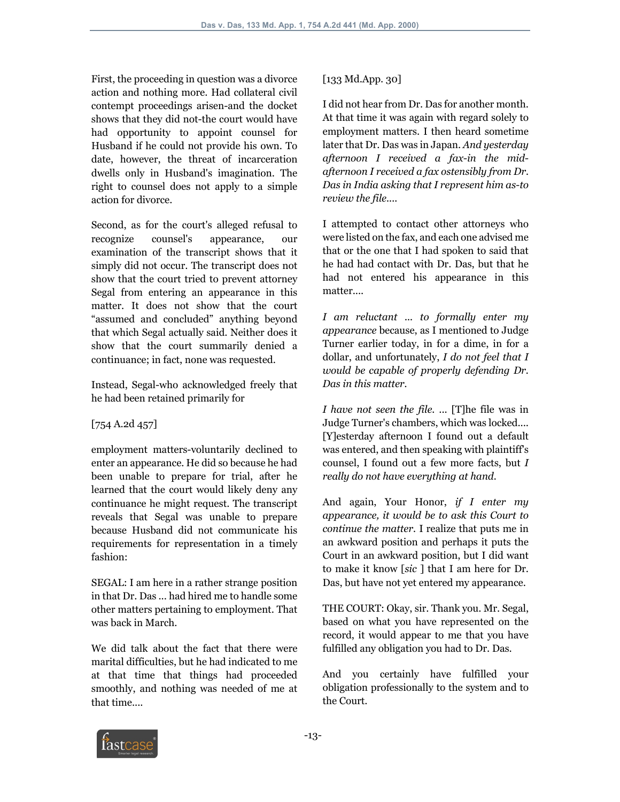First, the proceeding in question was a divorce action and nothing more. Had collateral civil contempt proceedings arisen-and the docket shows that they did not-the court would have had opportunity to appoint counsel for Husband if he could not provide his own. To date, however, the threat of incarceration dwells only in Husband's imagination. The right to counsel does not apply to a simple action for divorce.

Second, as for the court's alleged refusal to recognize counsel's appearance, our examination of the transcript shows that it simply did not occur. The transcript does not show that the court tried to prevent attorney Segal from entering an appearance in this matter. It does not show that the court "assumed and concluded" anything beyond that which Segal actually said. Neither does it show that the court summarily denied a continuance; in fact, none was requested.

Instead, Segal-who acknowledged freely that he had been retained primarily for

## [754 A.2d 457]

employment matters-voluntarily declined to enter an appearance. He did so because he had been unable to prepare for trial, after he learned that the court would likely deny any continuance he might request. The transcript reveals that Segal was unable to prepare because Husband did not communicate his requirements for representation in a timely fashion:

SEGAL: I am here in a rather strange position in that Dr. Das ... had hired me to handle some other matters pertaining to employment. That was back in March.

We did talk about the fact that there were marital difficulties, but he had indicated to me at that time that things had proceeded smoothly, and nothing was needed of me at that time....

## [133 Md.App. 30]

I did not hear from Dr. Das for another month. At that time it was again with regard solely to employment matters. I then heard sometime later that Dr. Das was in Japan. *And yesterday afternoon I received a fax-in the midafternoon I received a fax ostensibly from Dr. Das in India asking that I represent him as-to review the file....*

I attempted to contact other attorneys who were listed on the fax, and each one advised me that or the one that I had spoken to said that he had had contact with Dr. Das, but that he had not entered his appearance in this matter....

*I am reluctant ... to formally enter my appearance* because, as I mentioned to Judge Turner earlier today, in for a dime, in for a dollar, and unfortunately, *I do not feel that I would be capable of properly defending Dr. Das in this matter.*

*I have not seen the file.* ... [T]he file was in Judge Turner's chambers, which was locked.... [Y]esterday afternoon I found out a default was entered, and then speaking with plaintiff's counsel, I found out a few more facts, but *I really do not have everything at hand.*

And again, Your Honor, *if I enter my appearance, it would be to ask this Court to continue the matter.* I realize that puts me in an awkward position and perhaps it puts the Court in an awkward position, but I did want to make it know [*sic* ] that I am here for Dr. Das, but have not yet entered my appearance.

THE COURT: Okay, sir. Thank you. Mr. Segal, based on what you have represented on the record, it would appear to me that you have fulfilled any obligation you had to Dr. Das.

And you certainly have fulfilled your obligation professionally to the system and to the Court.

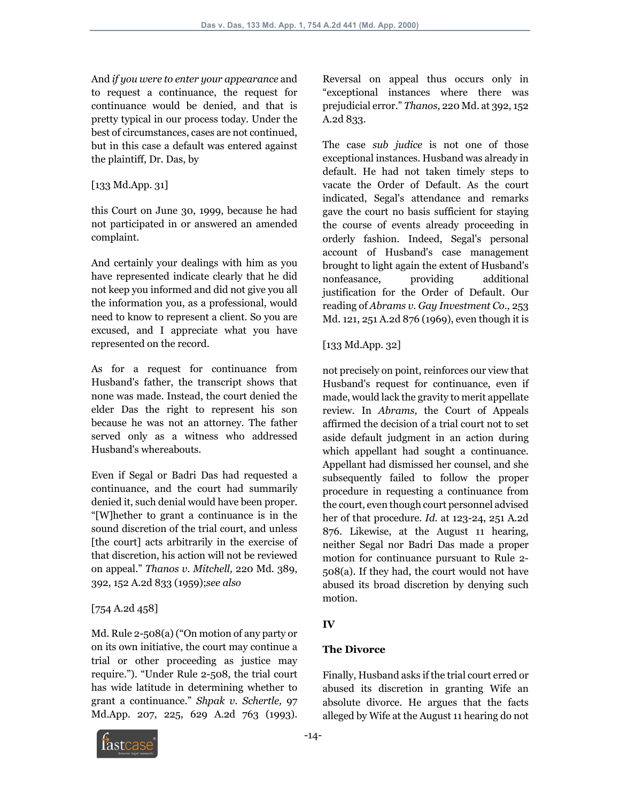And *if you were to enter your appearance* and to request a continuance, the request for continuance would be denied, and that is pretty typical in our process today. Under the best of circumstances, cases are not continued, but in this case a default was entered against the plaintiff, Dr. Das, by

[133 Md.App. 31]

this Court on June 30, 1999, because he had not participated in or answered an amended complaint.

And certainly your dealings with him as you have represented indicate clearly that he did not keep you informed and did not give you all the information you, as a professional, would need to know to represent a client. So you are excused, and I appreciate what you have represented on the record.

As for a request for continuance from Husband's father, the transcript shows that none was made. Instead, the court denied the elder Das the right to represent his son because he was not an attorney. The father served only as a witness who addressed Husband's whereabouts.

Even if Segal or Badri Das had requested a continuance, and the court had summarily denied it, such denial would have been proper. "[W]hether to grant a continuance is in the sound discretion of the trial court, and unless [the court] acts arbitrarily in the exercise of that discretion, his action will not be reviewed on appeal." *Thanos v. Mitchell,* 220 Md. 389, 392, 152 A.2d 833 (1959);*see also*

## [754 A.2d 458]

Md. Rule 2-508(a) ("On motion of any party or on its own initiative, the court may continue a trial or other proceeding as justice may require."). "Under Rule 2-508, the trial court has wide latitude in determining whether to grant a continuance." *Shpak v. Schertle,* 97 Md.App. 207, 225, 629 A.2d 763 (1993).



Reversal on appeal thus occurs only in "exceptional instances where there was prejudicial error." *Thanos,* 220 Md. at 392, 152 A.2d 833.

The case *sub judice* is not one of those exceptional instances. Husband was already in default. He had not taken timely steps to vacate the Order of Default. As the court indicated, Segal's attendance and remarks gave the court no basis sufficient for staying the course of events already proceeding in orderly fashion. Indeed, Segal's personal account of Husband's case management brought to light again the extent of Husband's nonfeasance, providing additional justification for the Order of Default. Our reading of *Abrams v. Gay Investment Co.,* 253 Md. 121, 251 A.2d 876 (1969), even though it is

[133 Md.App. 32]

not precisely on point, reinforces our view that Husband's request for continuance, even if made, would lack the gravity to merit appellate review. In *Abrams,* the Court of Appeals affirmed the decision of a trial court not to set aside default judgment in an action during which appellant had sought a continuance. Appellant had dismissed her counsel, and she subsequently failed to follow the proper procedure in requesting a continuance from the court, even though court personnel advised her of that procedure. *Id.* at 123-24, 251 A.2d 876. Likewise, at the August 11 hearing, neither Segal nor Badri Das made a proper motion for continuance pursuant to Rule 2- 508(a). If they had, the court would not have abused its broad discretion by denying such motion.

# **IV**

# **The Divorce**

Finally, Husband asks if the trial court erred or abused its discretion in granting Wife an absolute divorce. He argues that the facts alleged by Wife at the August 11 hearing do not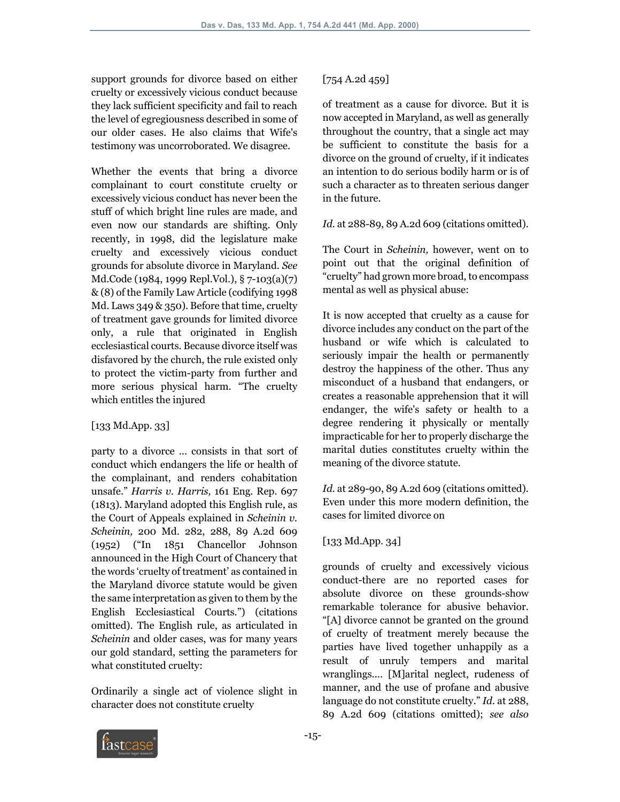support grounds for divorce based on either cruelty or excessively vicious conduct because they lack sufficient specificity and fail to reach the level of egregiousness described in some of our older cases. He also claims that Wife's testimony was uncorroborated. We disagree.

Whether the events that bring a divorce complainant to court constitute cruelty or excessively vicious conduct has never been the stuff of which bright line rules are made, and even now our standards are shifting. Only recently, in 1998, did the legislature make cruelty and excessively vicious conduct grounds for absolute divorce in Maryland. *See* Md.Code (1984, 1999 Repl.Vol.), § 7-103(a)(7) & (8) of the Family Law Article (codifying 1998 Md. Laws 349 & 350). Before that time, cruelty of treatment gave grounds for limited divorce only, a rule that originated in English ecclesiastical courts. Because divorce itself was disfavored by the church, the rule existed only to protect the victim-party from further and more serious physical harm. "The cruelty which entitles the injured

## [133 Md.App. 33]

party to a divorce ... consists in that sort of conduct which endangers the life or health of the complainant, and renders cohabitation unsafe." *Harris v. Harris,* 161 Eng. Rep. 697 (1813). Maryland adopted this English rule, as the Court of Appeals explained in *Scheinin v. Scheinin,* 200 Md. 282, 288, 89 A.2d 609 (1952) ("In 1851 Chancellor Johnson announced in the High Court of Chancery that the words 'cruelty of treatment' as contained in the Maryland divorce statute would be given the same interpretation as given to them by the English Ecclesiastical Courts.") (citations omitted). The English rule, as articulated in *Scheinin* and older cases, was for many years our gold standard, setting the parameters for what constituted cruelty:

Ordinarily a single act of violence slight in character does not constitute cruelty

# [754 A.2d 459]

of treatment as a cause for divorce. But it is now accepted in Maryland, as well as generally throughout the country, that a single act may be sufficient to constitute the basis for a divorce on the ground of cruelty, if it indicates an intention to do serious bodily harm or is of such a character as to threaten serious danger in the future.

### *Id.* at 288-89, 89 A.2d 609 (citations omitted).

The Court in *Scheinin,* however, went on to point out that the original definition of "cruelty" had grown more broad, to encompass mental as well as physical abuse:

It is now accepted that cruelty as a cause for divorce includes any conduct on the part of the husband or wife which is calculated to seriously impair the health or permanently destroy the happiness of the other. Thus any misconduct of a husband that endangers, or creates a reasonable apprehension that it will endanger, the wife's safety or health to a degree rendering it physically or mentally impracticable for her to properly discharge the marital duties constitutes cruelty within the meaning of the divorce statute.

*Id.* at 289-90, 89 A.2d 609 (citations omitted). Even under this more modern definition, the cases for limited divorce on

## [133 Md.App. 34]

grounds of cruelty and excessively vicious conduct-there are no reported cases for absolute divorce on these grounds-show remarkable tolerance for abusive behavior. "[A] divorce cannot be granted on the ground of cruelty of treatment merely because the parties have lived together unhappily as a result of unruly tempers and marital wranglings.... [M]arital neglect, rudeness of manner, and the use of profane and abusive language do not constitute cruelty." *Id.* at 288, 89 A.2d 609 (citations omitted); *see also* 

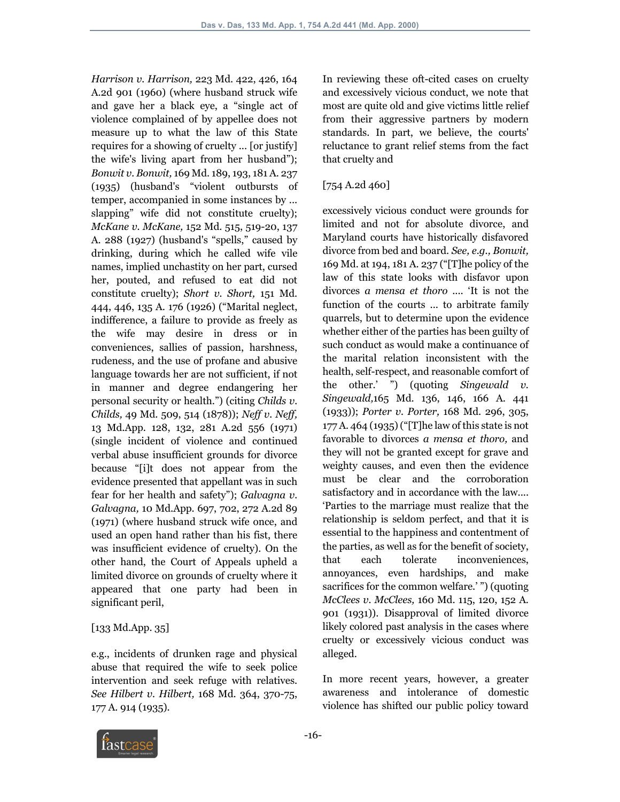*Harrison v. Harrison,* 223 Md. 422, 426, 164 A.2d 901 (1960) (where husband struck wife and gave her a black eye, a "single act of violence complained of by appellee does not measure up to what the law of this State requires for a showing of cruelty ... [or justify] the wife's living apart from her husband"); *Bonwit v. Bonwit,* 169 Md. 189, 193, 181 A. 237 (1935) (husband's "violent outbursts of temper, accompanied in some instances by ... slapping" wife did not constitute cruelty); *McKane v. McKane,* 152 Md. 515, 519-20, 137 A. 288 (1927) (husband's "spells," caused by drinking, during which he called wife vile names, implied unchastity on her part, cursed her, pouted, and refused to eat did not constitute cruelty); *Short v. Short,* 151 Md. 444, 446, 135 A. 176 (1926) ("Marital neglect, indifference, a failure to provide as freely as the wife may desire in dress or in conveniences, sallies of passion, harshness, rudeness, and the use of profane and abusive language towards her are not sufficient, if not in manner and degree endangering her personal security or health.") (citing *Childs v. Childs,* 49 Md. 509, 514 (1878)); *Neff v. Neff,* 13 Md.App. 128, 132, 281 A.2d 556 (1971) (single incident of violence and continued verbal abuse insufficient grounds for divorce because "[i]t does not appear from the evidence presented that appellant was in such fear for her health and safety"); *Galvagna v. Galvagna,* 10 Md.App. 697, 702, 272 A.2d 89 (1971) (where husband struck wife once, and used an open hand rather than his fist, there was insufficient evidence of cruelty). On the other hand, the Court of Appeals upheld a limited divorce on grounds of cruelty where it appeared that one party had been in significant peril,

#### [133 Md.App. 35]

e.g., incidents of drunken rage and physical abuse that required the wife to seek police intervention and seek refuge with relatives. *See Hilbert v. Hilbert,* 168 Md. 364, 370-75, 177 A. 914 (1935).

In reviewing these oft-cited cases on cruelty and excessively vicious conduct, we note that most are quite old and give victims little relief from their aggressive partners by modern standards. In part, we believe, the courts' reluctance to grant relief stems from the fact that cruelty and

## [754 A.2d 460]

excessively vicious conduct were grounds for limited and not for absolute divorce, and Maryland courts have historically disfavored divorce from bed and board. *See, e.g., Bonwit,* 169 Md. at 194, 181 A. 237 ("[T]he policy of the law of this state looks with disfavor upon divorces *a mensa et thoro* .... 'It is not the function of the courts ... to arbitrate family quarrels, but to determine upon the evidence whether either of the parties has been guilty of such conduct as would make a continuance of the marital relation inconsistent with the health, self-respect, and reasonable comfort of the other.' ") (quoting *Singewald v. Singewald,*165 Md. 136, 146, 166 A. 441 (1933)); *Porter v. Porter,* 168 Md. 296, 305, 177 A. 464 (1935) ("[T]he law of this state is not favorable to divorces *a mensa et thoro,* and they will not be granted except for grave and weighty causes, and even then the evidence must be clear and the corroboration satisfactory and in accordance with the law.... 'Parties to the marriage must realize that the relationship is seldom perfect, and that it is essential to the happiness and contentment of the parties, as well as for the benefit of society, that each tolerate inconveniences, annoyances, even hardships, and make sacrifices for the common welfare.' ") (quoting *McClees v. McClees,* 160 Md. 115, 120, 152 A. 901 (1931)). Disapproval of limited divorce likely colored past analysis in the cases where cruelty or excessively vicious conduct was alleged.

In more recent years, however, a greater awareness and intolerance of domestic violence has shifted our public policy toward

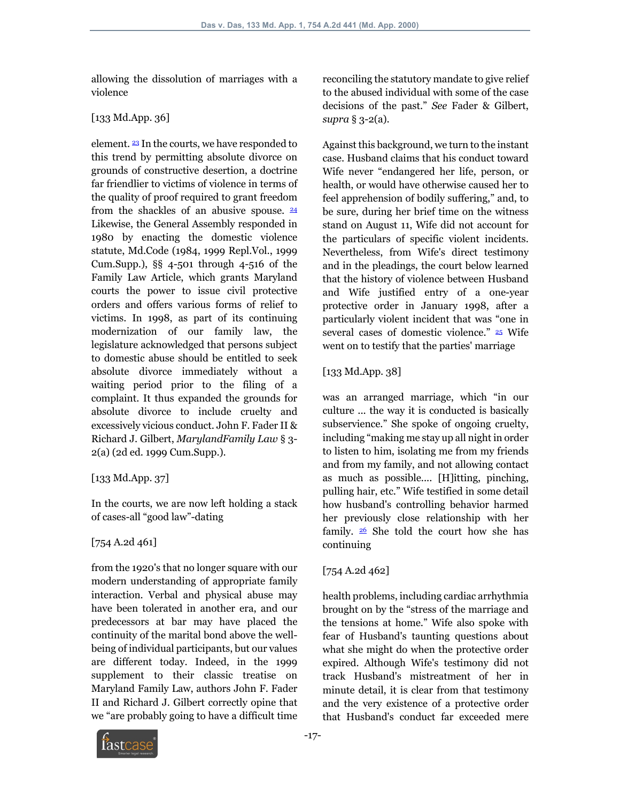allowing the dissolution of marriages with a violence

## [133 Md.App. 36]

element. 23 In the courts, we have responded to this trend by permitting absolute divorce on grounds of constructive desertion, a doctrine far friendlier to victims of violence in terms of the quality of proof required to grant freedom from the shackles of an abusive spouse.  $\frac{24}{3}$ Likewise, the General Assembly responded in 1980 by enacting the domestic violence statute, Md.Code (1984, 1999 Repl.Vol., 1999 Cum.Supp.), §§ 4-501 through 4-516 of the Family Law Article, which grants Maryland courts the power to issue civil protective orders and offers various forms of relief to victims. In 1998, as part of its continuing modernization of our family law, the legislature acknowledged that persons subject to domestic abuse should be entitled to seek absolute divorce immediately without a waiting period prior to the filing of a complaint. It thus expanded the grounds for absolute divorce to include cruelty and excessively vicious conduct. John F. Fader II & Richard J. Gilbert, *MarylandFamily Law* § 3- 2(a) (2d ed. 1999 Cum.Supp.).

## [133 Md.App. 37]

In the courts, we are now left holding a stack of cases-all "good law"-dating

## [754 A.2d 461]

from the 1920's that no longer square with our modern understanding of appropriate family interaction. Verbal and physical abuse may have been tolerated in another era, and our predecessors at bar may have placed the continuity of the marital bond above the wellbeing of individual participants, but our values are different today. Indeed, in the 1999 supplement to their classic treatise on Maryland Family Law, authors John F. Fader II and Richard J. Gilbert correctly opine that we "are probably going to have a difficult time

reconciling the statutory mandate to give relief to the abused individual with some of the case decisions of the past." *See* Fader & Gilbert, *supra* § 3-2(a).

Against this background, we turn to the instant case. Husband claims that his conduct toward Wife never "endangered her life, person, or health, or would have otherwise caused her to feel apprehension of bodily suffering," and, to be sure, during her brief time on the witness stand on August 11, Wife did not account for the particulars of specific violent incidents. Nevertheless, from Wife's direct testimony and in the pleadings, the court below learned that the history of violence between Husband and Wife justified entry of a one-year protective order in January 1998, after a particularly violent incident that was "one in several cases of domestic violence." 25 Wife went on to testify that the parties' marriage

[133 Md.App. 38]

was an arranged marriage, which "in our culture ... the way it is conducted is basically subservience." She spoke of ongoing cruelty, including "making me stay up all night in order to listen to him, isolating me from my friends and from my family, and not allowing contact as much as possible.... [H]itting, pinching, pulling hair, etc." Wife testified in some detail how husband's controlling behavior harmed her previously close relationship with her family.  $26$  She told the court how she has continuing

# [754 A.2d 462]

health problems, including cardiac arrhythmia brought on by the "stress of the marriage and the tensions at home." Wife also spoke with fear of Husband's taunting questions about what she might do when the protective order expired. Although Wife's testimony did not track Husband's mistreatment of her in minute detail, it is clear from that testimony and the very existence of a protective order that Husband's conduct far exceeded mere

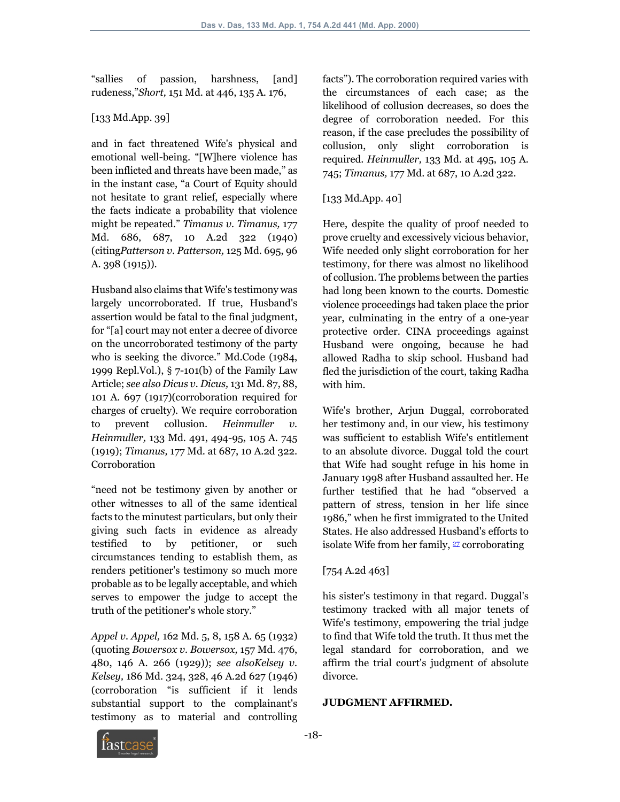"sallies of passion, harshness, [and] rudeness,"*Short,* 151 Md. at 446, 135 A. 176,

## [133 Md.App. 39]

and in fact threatened Wife's physical and emotional well-being. "[W]here violence has been inflicted and threats have been made," as in the instant case, "a Court of Equity should not hesitate to grant relief, especially where the facts indicate a probability that violence might be repeated." *Timanus v. Timanus,* 177 Md. 686, 687, 10 A.2d 322 (1940) (citing*Patterson v. Patterson,* 125 Md. 695, 96 A. 398 (1915)).

Husband also claims that Wife's testimony was largely uncorroborated. If true, Husband's assertion would be fatal to the final judgment, for "[a] court may not enter a decree of divorce on the uncorroborated testimony of the party who is seeking the divorce." Md.Code (1984, 1999 Repl.Vol.), § 7-101(b) of the Family Law Article; *see also Dicus v. Dicus,* 131 Md. 87, 88, 101 A. 697 (1917)(corroboration required for charges of cruelty). We require corroboration to prevent collusion. *Heinmuller v. Heinmuller,* 133 Md. 491, 494-95, 105 A. 745 (1919); *Timanus,* 177 Md. at 687, 10 A.2d 322. Corroboration

"need not be testimony given by another or other witnesses to all of the same identical facts to the minutest particulars, but only their giving such facts in evidence as already testified to by petitioner, or such circumstances tending to establish them, as renders petitioner's testimony so much more probable as to be legally acceptable, and which serves to empower the judge to accept the truth of the petitioner's whole story."

*Appel v. Appel,* 162 Md. 5, 8, 158 A. 65 (1932) (quoting *Bowersox v. Bowersox,* 157 Md. 476, 480, 146 A. 266 (1929)); *see alsoKelsey v. Kelsey,* 186 Md. 324, 328, 46 A.2d 627 (1946) (corroboration "is sufficient if it lends substantial support to the complainant's testimony as to material and controlling facts"). The corroboration required varies with the circumstances of each case; as the likelihood of collusion decreases, so does the degree of corroboration needed. For this reason, if the case precludes the possibility of collusion, only slight corroboration is required. *Heinmuller,* 133 Md. at 495, 105 A. 745; *Timanus,* 177 Md. at 687, 10 A.2d 322.

## [133 Md.App. 40]

Here, despite the quality of proof needed to prove cruelty and excessively vicious behavior, Wife needed only slight corroboration for her testimony, for there was almost no likelihood of collusion. The problems between the parties had long been known to the courts. Domestic violence proceedings had taken place the prior year, culminating in the entry of a one-year protective order. CINA proceedings against Husband were ongoing, because he had allowed Radha to skip school. Husband had fled the jurisdiction of the court, taking Radha with him.

Wife's brother, Arjun Duggal, corroborated her testimony and, in our view, his testimony was sufficient to establish Wife's entitlement to an absolute divorce. Duggal told the court that Wife had sought refuge in his home in January 1998 after Husband assaulted her. He further testified that he had "observed a pattern of stress, tension in her life since 1986," when he first immigrated to the United States. He also addressed Husband's efforts to isolate Wife from her family,  $27$  corroborating

## [754 A.2d 463]

his sister's testimony in that regard. Duggal's testimony tracked with all major tenets of Wife's testimony, empowering the trial judge to find that Wife told the truth. It thus met the legal standard for corroboration, and we affirm the trial court's judgment of absolute divorce.

#### **JUDGMENT AFFIRMED.**

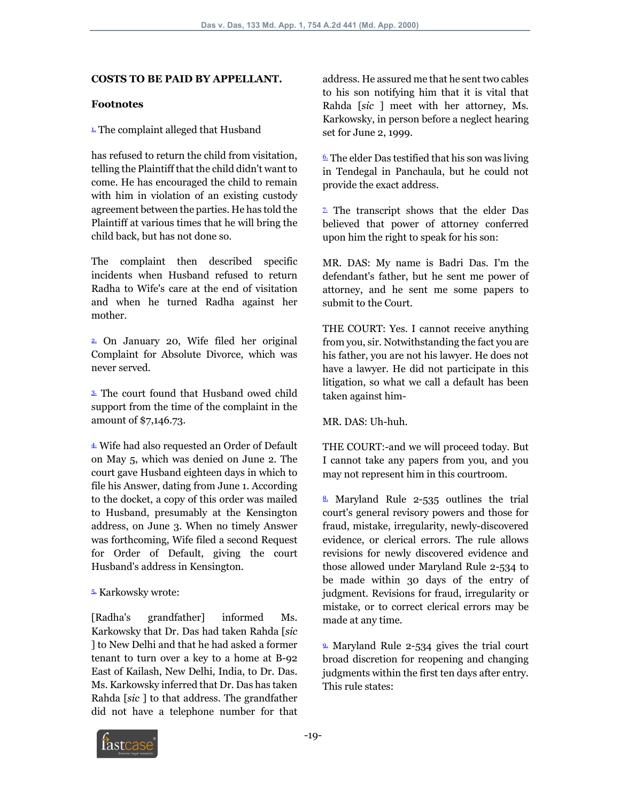#### **COSTS TO BE PAID BY APPELLANT.**

#### **Footnotes**

#### $\overline{1}$ . The complaint alleged that Husband

has refused to return the child from visitation, telling the Plaintiff that the child didn't want to come. He has encouraged the child to remain with him in violation of an existing custody agreement between the parties. He has told the Plaintiff at various times that he will bring the child back, but has not done so.

The complaint then described specific incidents when Husband refused to return Radha to Wife's care at the end of visitation and when he turned Radha against her mother.

2. On January 20, Wife filed her original Complaint for Absolute Divorce, which was never served.

3. The court found that Husband owed child support from the time of the complaint in the amount of \$7,146.73.

4. Wife had also requested an Order of Default on May 5, which was denied on June 2. The court gave Husband eighteen days in which to file his Answer, dating from June 1. According to the docket, a copy of this order was mailed to Husband, presumably at the Kensington address, on June 3. When no timely Answer was forthcoming, Wife filed a second Request for Order of Default, giving the court Husband's address in Kensington.

#### 5. Karkowsky wrote:

[Radha's grandfather] informed Ms. Karkowsky that Dr. Das had taken Rahda [*sic* ] to New Delhi and that he had asked a former tenant to turn over a key to a home at B-92 East of Kailash, New Delhi, India, to Dr. Das. Ms. Karkowsky inferred that Dr. Das has taken Rahda [*sic* ] to that address. The grandfather did not have a telephone number for that

address. He assured me that he sent two cables to his son notifying him that it is vital that Rahda [*sic* ] meet with her attorney, Ms. Karkowsky, in person before a neglect hearing set for June 2, 1999.

 $6.$  The elder Das testified that his son was living in Tendegal in Panchaula, but he could not provide the exact address.

7. The transcript shows that the elder Das believed that power of attorney conferred upon him the right to speak for his son:

MR. DAS: My name is Badri Das. I'm the defendant's father, but he sent me power of attorney, and he sent me some papers to submit to the Court.

THE COURT: Yes. I cannot receive anything from you, sir. Notwithstanding the fact you are his father, you are not his lawyer. He does not have a lawyer. He did not participate in this litigation, so what we call a default has been taken against him-

MR. DAS: Uh-huh.

THE COURT:-and we will proceed today. But I cannot take any papers from you, and you may not represent him in this courtroom.

 $\frac{8}{2}$  Maryland Rule 2-535 outlines the trial court's general revisory powers and those for fraud, mistake, irregularity, newly-discovered evidence, or clerical errors. The rule allows revisions for newly discovered evidence and those allowed under Maryland Rule 2-534 to be made within 30 days of the entry of judgment. Revisions for fraud, irregularity or mistake, or to correct clerical errors may be made at any time.

9. Maryland Rule 2-534 gives the trial court broad discretion for reopening and changing judgments within the first ten days after entry. This rule states:

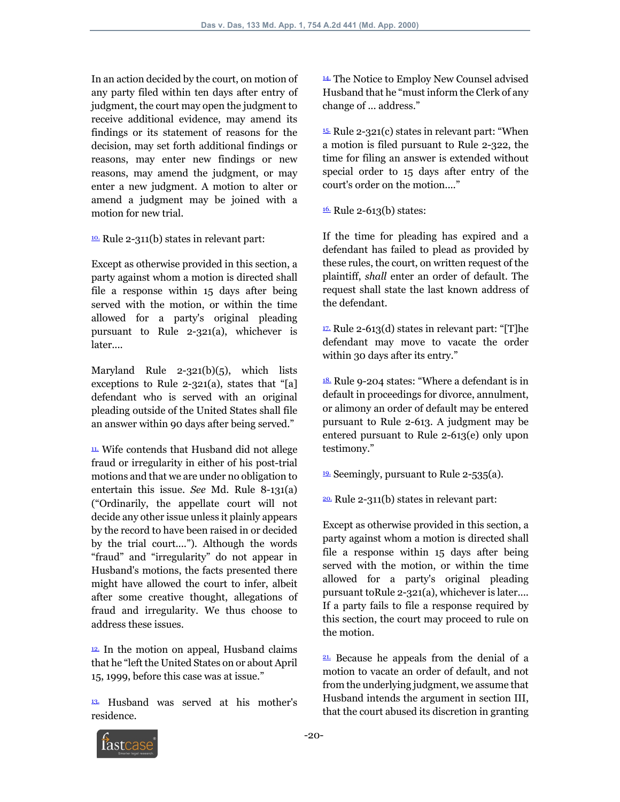In an action decided by the court, on motion of any party filed within ten days after entry of judgment, the court may open the judgment to receive additional evidence, may amend its findings or its statement of reasons for the decision, may set forth additional findings or reasons, may enter new findings or new reasons, may amend the judgment, or may enter a new judgment. A motion to alter or amend a judgment may be joined with a motion for new trial.

10. Rule 2-311(b) states in relevant part:

Except as otherwise provided in this section, a party against whom a motion is directed shall file a response within 15 days after being served with the motion, or within the time allowed for a party's original pleading pursuant to Rule 2-321(a), whichever is later....

Maryland Rule 2-321(b)(5), which lists exceptions to Rule 2-321(a), states that "[a] defendant who is served with an original pleading outside of the United States shall file an answer within 90 days after being served."

11. Wife contends that Husband did not allege fraud or irregularity in either of his post-trial motions and that we are under no obligation to entertain this issue. *See* Md. Rule 8-131(a) ("Ordinarily, the appellate court will not decide any other issue unless it plainly appears by the record to have been raised in or decided by the trial court...."). Although the words "fraud" and "irregularity" do not appear in Husband's motions, the facts presented there might have allowed the court to infer, albeit after some creative thought, allegations of fraud and irregularity. We thus choose to address these issues.

 $12$ . In the motion on appeal, Husband claims that he "left the United States on or about April 15, 1999, before this case was at issue."

13. Husband was served at his mother's residence.

14. The Notice to Employ New Counsel advised Husband that he "must inform the Clerk of any change of ... address."

15. Rule 2-321(c) states in relevant part: "When a motion is filed pursuant to Rule 2-322, the time for filing an answer is extended without special order to 15 days after entry of the court's order on the motion...."

 $16.$  Rule 2-613(b) states:

If the time for pleading has expired and a defendant has failed to plead as provided by these rules, the court, on written request of the plaintiff, *shall* enter an order of default. The request shall state the last known address of the defendant.

 $\frac{17}{2}$  Rule 2-613(d) states in relevant part: "[T]he defendant may move to vacate the order within 30 days after its entry."

18. Rule 9-204 states: "Where a defendant is in default in proceedings for divorce, annulment, or alimony an order of default may be entered pursuant to Rule 2-613. A judgment may be entered pursuant to Rule 2-613(e) only upon testimony."

19. Seemingly, pursuant to Rule 2-535(a).

 $20.$  Rule 2-311(b) states in relevant part:

Except as otherwise provided in this section, a party against whom a motion is directed shall file a response within 15 days after being served with the motion, or within the time allowed for a party's original pleading pursuant toRule 2-321(a), whichever is later.... If a party fails to file a response required by this section, the court may proceed to rule on the motion.

21. Because he appeals from the denial of a motion to vacate an order of default, and not from the underlying judgment, we assume that Husband intends the argument in section III, that the court abused its discretion in granting

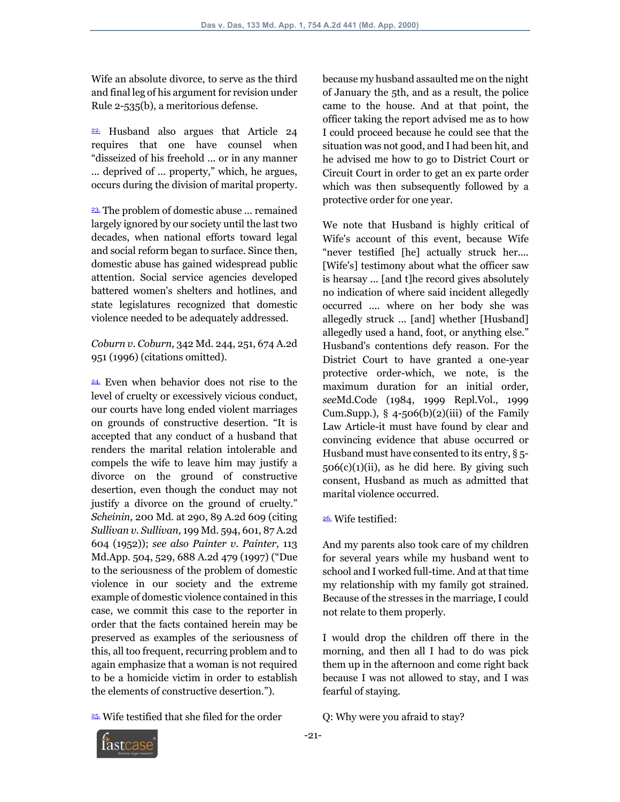Wife an absolute divorce, to serve as the third and final leg of his argument for revision under Rule 2-535(b), a meritorious defense.

22. Husband also argues that Article 24 requires that one have counsel when "disseized of his freehold ... or in any manner ... deprived of ... property," which, he argues, occurs during the division of marital property.

23. The problem of domestic abuse ... remained largely ignored by our society until the last two decades, when national efforts toward legal and social reform began to surface. Since then, domestic abuse has gained widespread public attention. Social service agencies developed battered women's shelters and hotlines, and state legislatures recognized that domestic violence needed to be adequately addressed.

*Coburn v. Coburn,* 342 Md. 244, 251, 674 A.2d 951 (1996) (citations omitted).

24. Even when behavior does not rise to the level of cruelty or excessively vicious conduct, our courts have long ended violent marriages on grounds of constructive desertion. "It is accepted that any conduct of a husband that renders the marital relation intolerable and compels the wife to leave him may justify a divorce on the ground of constructive desertion, even though the conduct may not justify a divorce on the ground of cruelty." *Scheinin,* 200 Md. at 290, 89 A.2d 609 (citing *Sullivan v. Sullivan,* 199 Md. 594, 601, 87 A.2d 604 (1952)); *see also Painter v. Painter,* 113 Md.App. 504, 529, 688 A.2d 479 (1997) ("Due to the seriousness of the problem of domestic violence in our society and the extreme example of domestic violence contained in this case, we commit this case to the reporter in order that the facts contained herein may be preserved as examples of the seriousness of this, all too frequent, recurring problem and to again emphasize that a woman is not required to be a homicide victim in order to establish the elements of constructive desertion.").

25. Wife testified that she filed for the order

because my husband assaulted me on the night of January the 5th, and as a result, the police came to the house. And at that point, the officer taking the report advised me as to how I could proceed because he could see that the situation was not good, and I had been hit, and he advised me how to go to District Court or Circuit Court in order to get an ex parte order which was then subsequently followed by a protective order for one year.

We note that Husband is highly critical of Wife's account of this event, because Wife "never testified [he] actually struck her.... [Wife's] testimony about what the officer saw is hearsay ... [and t]he record gives absolutely no indication of where said incident allegedly occurred .... where on her body she was allegedly struck ... [and] whether [Husband] allegedly used a hand, foot, or anything else." Husband's contentions defy reason. For the District Court to have granted a one-year protective order-which, we note, is the maximum duration for an initial order, *see*Md.Code (1984, 1999 Repl.Vol., 1999 Cum.Supp.),  $\S$  4-506(b)(2)(iii) of the Family Law Article-it must have found by clear and convincing evidence that abuse occurred or Husband must have consented to its entry, § 5-  $506(c)(1)(ii)$ , as he did here. By giving such consent, Husband as much as admitted that marital violence occurred.

#### 26. Wife testified:

And my parents also took care of my children for several years while my husband went to school and I worked full-time. And at that time my relationship with my family got strained. Because of the stresses in the marriage, I could not relate to them properly.

I would drop the children off there in the morning, and then all I had to do was pick them up in the afternoon and come right back because I was not allowed to stay, and I was fearful of staying.

Q: Why were you afraid to stay?